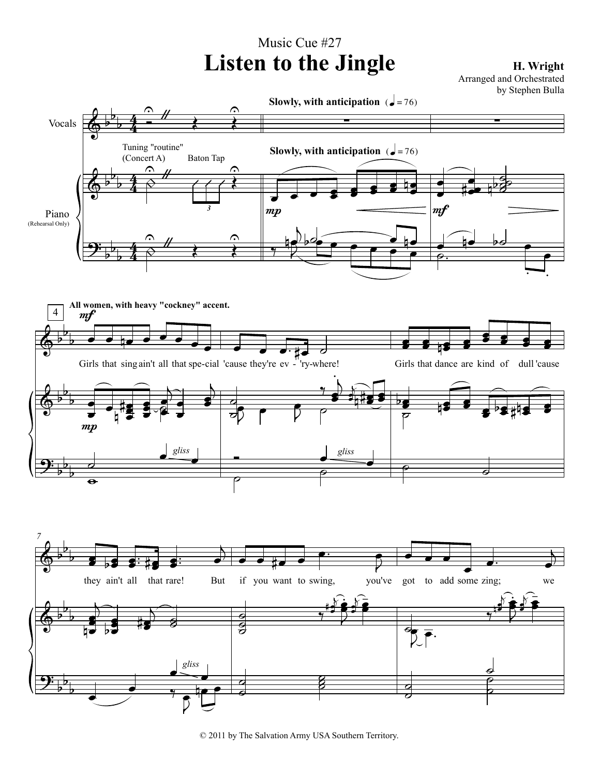## Music Cue #27 Listen to the Jingle **H. Wright**

Arranged and Orchestrated by Stephen Bulla



© 2011 by The Salvation Army USA Southern Territory.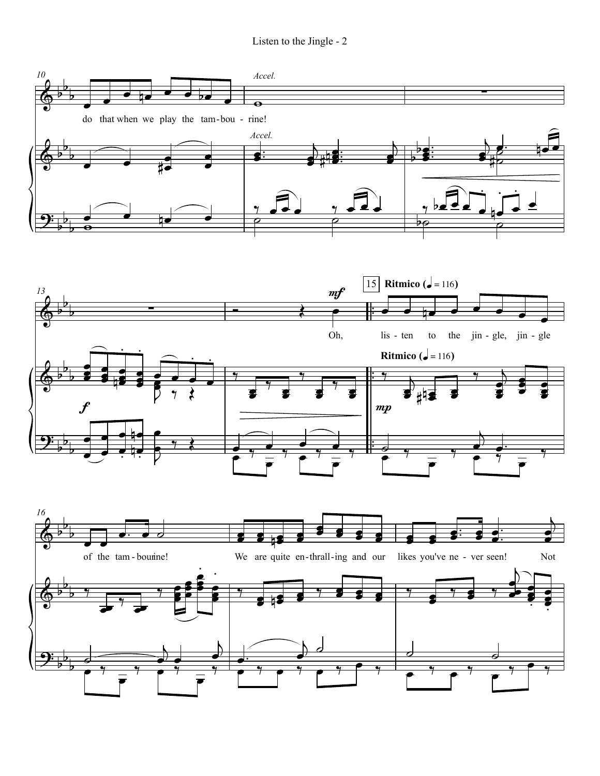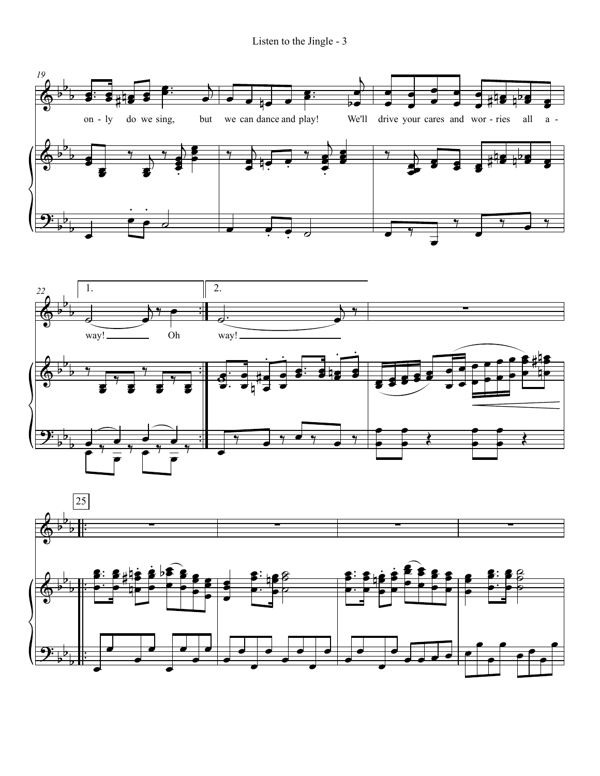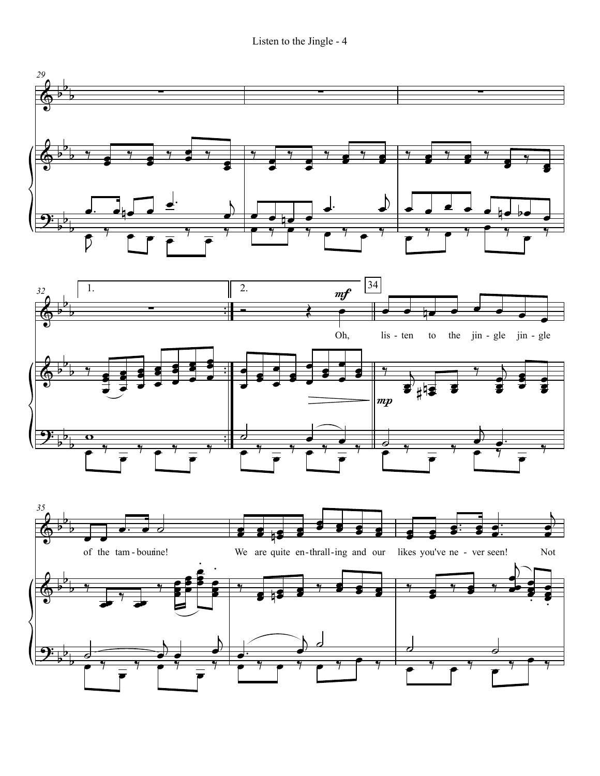Listen to the Jingle - 4